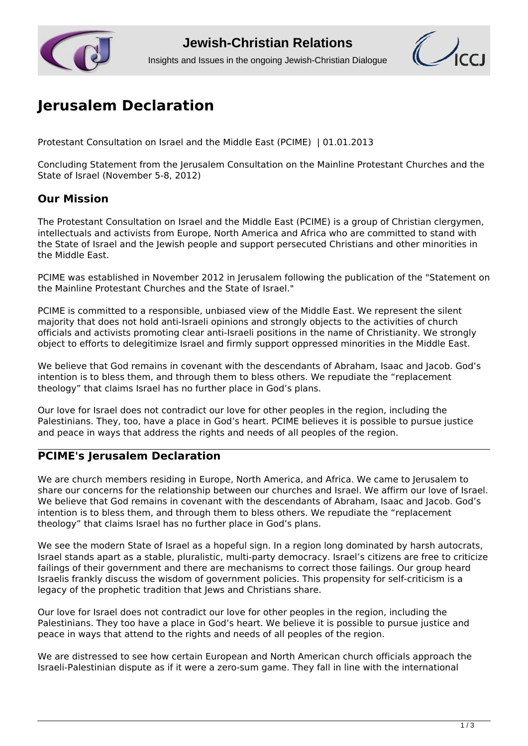



# **[Jerusalem Declaration](http://www.jcrelations.net/Jerusalem_Declaration.4032.0.html?L=3)**

Protestant Consultation on Israel and the Middle East (PCIME) | 01.01.2013

Concluding Statement from the Jerusalem Consultation on the Mainline Protestant Churches and the State of Israel (November 5-8, 2012)

# **Our Mission**

The Protestant Consultation on Israel and the Middle East (PCIME) is a group of Christian clergymen, intellectuals and activists from Europe, North America and Africa who are committed to stand with the State of Israel and the Jewish people and support persecuted Christians and other minorities in the Middle East.

PCIME was established in November 2012 in Jerusalem following the publication of the "Statement on the Mainline Protestant Churches and the State of Israel."

PCIME is committed to a responsible, unbiased view of the Middle East. We represent the silent majority that does not hold anti-Israeli opinions and strongly objects to the activities of church officials and activists promoting clear anti-Israeli positions in the name of Christianity. We strongly object to efforts to delegitimize Israel and firmly support oppressed minorities in the Middle East.

We believe that God remains in covenant with the descendants of Abraham, Isaac and Jacob. God's intention is to bless them, and through them to bless others. We repudiate the "replacement theology" that claims Israel has no further place in God's plans.

Our love for Israel does not contradict our love for other peoples in the region, including the Palestinians. They, too, have a place in God's heart. PCIME believes it is possible to pursue justice and peace in ways that address the rights and needs of all peoples of the region.

# **PCIME's Jerusalem Declaration**

We are church members residing in Europe, North America, and Africa. We came to Jerusalem to share our concerns for the relationship between our churches and Israel. We affirm our love of Israel. We believe that God remains in covenant with the descendants of Abraham, Isaac and Jacob. God's intention is to bless them, and through them to bless others. We repudiate the "replacement" theology" that claims Israel has no further place in God's plans.

We see the modern State of Israel as a hopeful sign. In a region long dominated by harsh autocrats, Israel stands apart as a stable, pluralistic, multi-party democracy. Israel's citizens are free to criticize failings of their government and there are mechanisms to correct those failings. Our group heard Israelis frankly discuss the wisdom of government policies. This propensity for self-criticism is a legacy of the prophetic tradition that Jews and Christians share.

Our love for Israel does not contradict our love for other peoples in the region, including the Palestinians. They too have a place in God's heart. We believe it is possible to pursue justice and peace in ways that attend to the rights and needs of all peoples of the region.

We are distressed to see how certain European and North American church officials approach the Israeli-Palestinian dispute as if it were a zero-sum game. They fall in line with the international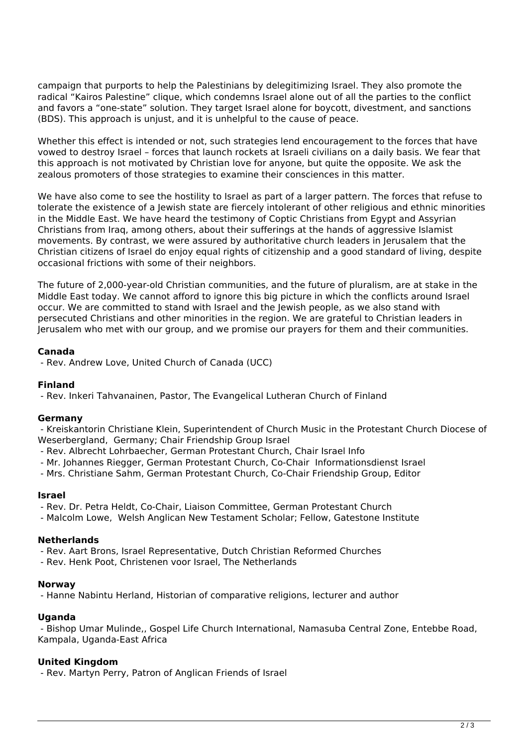campaign that purports to help the Palestinians by delegitimizing Israel. They also promote the radical "Kairos Palestine" clique, which condemns Israel alone out of all the parties to the conflict and favors a "one-state" solution. They target Israel alone for boycott, divestment, and sanctions (BDS). This approach is unjust, and it is unhelpful to the cause of peace.

Whether this effect is intended or not, such strategies lend encouragement to the forces that have vowed to destroy Israel – forces that launch rockets at Israeli civilians on a daily basis. We fear that this approach is not motivated by Christian love for anyone, but quite the opposite. We ask the zealous promoters of those strategies to examine their consciences in this matter.

We have also come to see the hostility to Israel as part of a larger pattern. The forces that refuse to tolerate the existence of a Jewish state are fiercely intolerant of other religious and ethnic minorities in the Middle East. We have heard the testimony of Coptic Christians from Egypt and Assyrian Christians from Iraq, among others, about their sufferings at the hands of aggressive Islamist movements. By contrast, we were assured by authoritative church leaders in Jerusalem that the Christian citizens of Israel do enjoy equal rights of citizenship and a good standard of living, despite occasional frictions with some of their neighbors.

The future of 2,000-year-old Christian communities, and the future of pluralism, are at stake in the Middle East today. We cannot afford to ignore this big picture in which the conflicts around Israel occur. We are committed to stand with Israel and the Jewish people, as we also stand with persecuted Christians and other minorities in the region. We are grateful to Christian leaders in Jerusalem who met with our group, and we promise our prayers for them and their communities.

# **Canada**

- Rev. Andrew Love, United Church of Canada (UCC)

#### **Finland**

- Rev. Inkeri Tahvanainen, Pastor, The Evangelical Lutheran Church of Finland

#### **Germany**

 - Kreiskantorin Christiane Klein, Superintendent of Church Music in the Protestant Church Diocese of Weserbergland, Germany; Chair Friendship Group Israel

- Rev. Albrecht Lohrbaecher, German Protestant Church, Chair Israel Info
- Mr. Johannes Riegger, German Protestant Church, Co-Chair Informationsdienst Israel
- Mrs. Christiane Sahm, German Protestant Church, Co-Chair Friendship Group, Editor

#### **Israel**

- Rev. Dr. Petra Heldt, Co-Chair, Liaison Committee, German Protestant Church

- Malcolm Lowe, Welsh Anglican New Testament Scholar; Fellow, Gatestone Institute

# **Netherlands**

- Rev. Aart Brons, Israel Representative, Dutch Christian Reformed Churches

- Rev. Henk Poot, Christenen voor Israel, The Netherlands

#### **Norway**

- Hanne Nabintu Herland, Historian of comparative religions, lecturer and author

# **Uganda**

 - Bishop Umar Mulinde,, Gospel Life Church International, Namasuba Central Zone, Entebbe Road, Kampala, Uganda-East Africa

# **United Kingdom**

- Rev. Martyn Perry, Patron of Anglican Friends of Israel